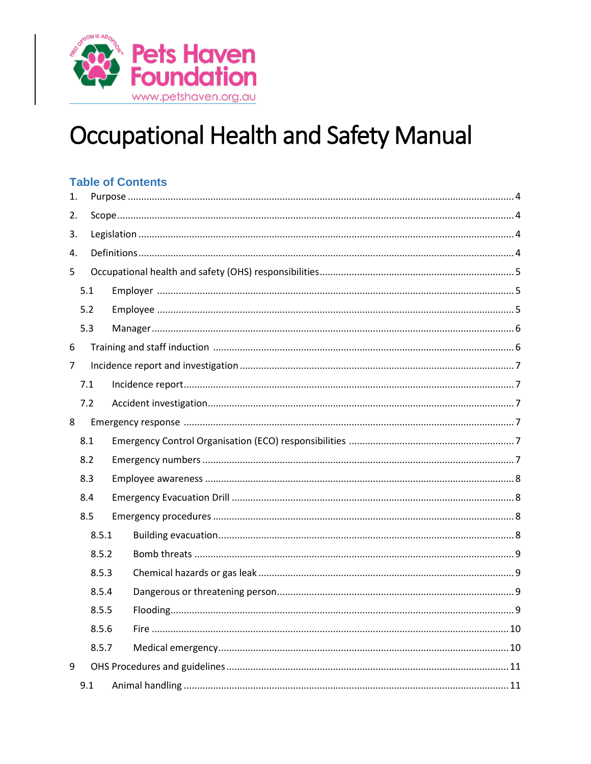

# **Occupational Health and Safety Manual**

#### **Table of Contents**  $\mathbf{1}$  $2<sup>1</sup>$ 3.  $\overline{4}$ 5  $5.1$  $5.2$  $5.3$ 6  $\overline{7}$  $7.1$  $7.2$ 8 8.1  $8.2$  $8.3$ 8.4 8.5 8.5.1 8.5.2 8.5.3 8.5.4 8.5.5 8.5.6 8.5.7 9  $9.1$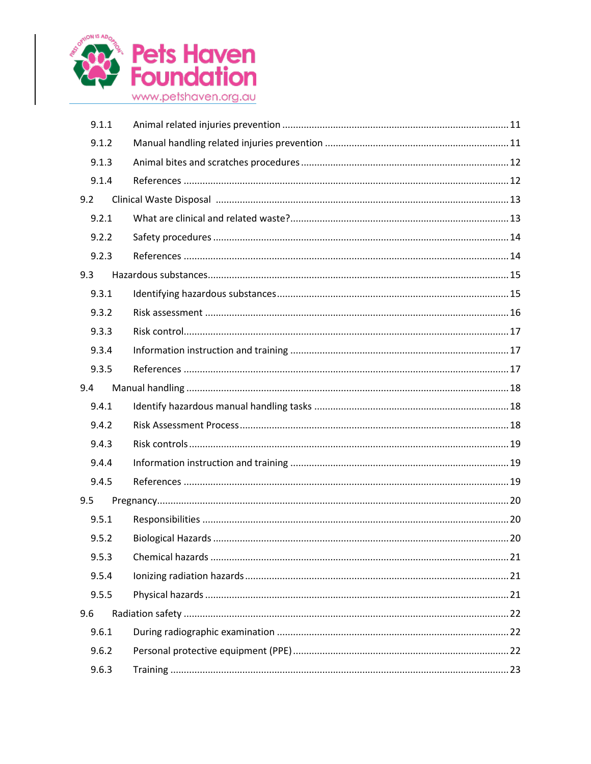

| 9.1.1 |  |  |  |
|-------|--|--|--|
| 9.1.2 |  |  |  |
| 9.1.3 |  |  |  |
| 9.1.4 |  |  |  |
| 9.2   |  |  |  |
| 9.2.1 |  |  |  |
| 9.2.2 |  |  |  |
| 9.2.3 |  |  |  |
| 9.3   |  |  |  |
| 9.3.1 |  |  |  |
| 9.3.2 |  |  |  |
| 9.3.3 |  |  |  |
| 9.3.4 |  |  |  |
| 9.3.5 |  |  |  |
| 9.4   |  |  |  |
| 9.4.1 |  |  |  |
| 9.4.2 |  |  |  |
| 9.4.3 |  |  |  |
| 9.4.4 |  |  |  |
| 9.4.5 |  |  |  |
| 9.5   |  |  |  |
| 9.5.1 |  |  |  |
|       |  |  |  |
| 9.5.2 |  |  |  |
| 9.5.3 |  |  |  |
| 9.5.4 |  |  |  |
| 9.5.5 |  |  |  |
| 9.6   |  |  |  |
| 9.6.1 |  |  |  |
| 9.6.2 |  |  |  |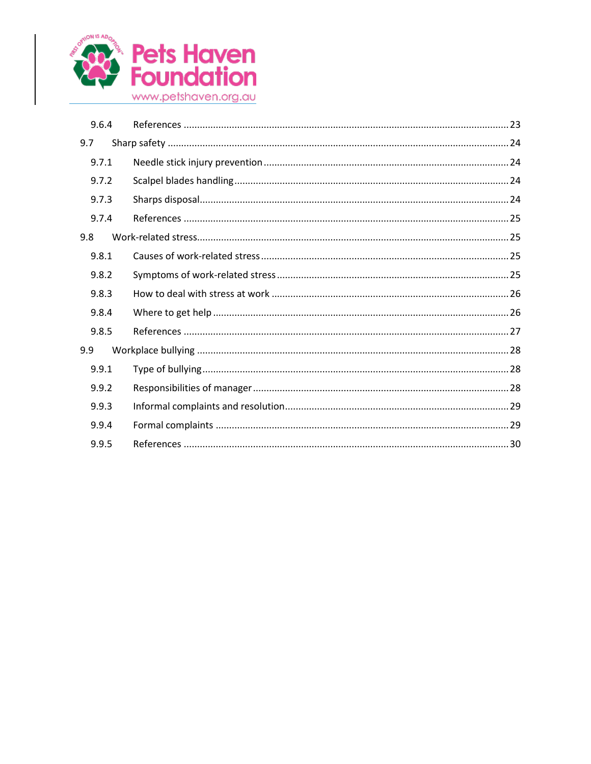

| 9.6.4 |  |
|-------|--|
| 9.7   |  |
| 9.7.1 |  |
| 9.7.2 |  |
| 9.7.3 |  |
| 9.7.4 |  |
| 9.8   |  |
| 9.8.1 |  |
| 9.8.2 |  |
| 9.8.3 |  |
| 9.8.4 |  |
| 9.8.5 |  |
| 9.9   |  |
| 9.9.1 |  |
| 9.9.2 |  |
| 9.9.3 |  |
| 9.9.4 |  |
| 9.9.5 |  |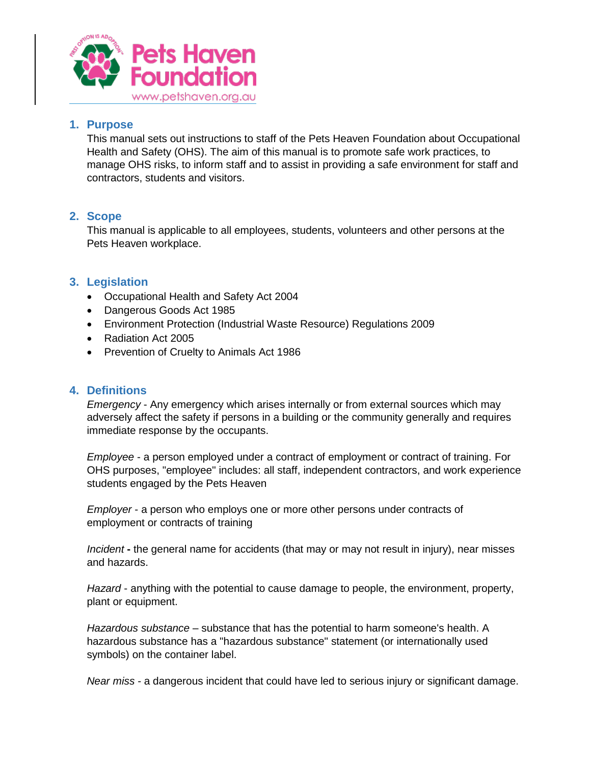

## <span id="page-3-0"></span>**1. Purpose**

This manual sets out instructions to staff of the Pets Heaven Foundation about Occupational Health and Safety (OHS). The aim of this manual is to promote safe work practices, to manage OHS risks, to inform staff and to assist in providing a safe environment for staff and contractors, students and visitors.

## <span id="page-3-1"></span>**2. Scope**

This manual is applicable to all employees, students, volunteers and other persons at the Pets Heaven workplace.

## <span id="page-3-2"></span>**3. Legislation**

- Occupational Health and Safety Act 2004
- Dangerous Goods Act 1985
- Environment Protection (Industrial Waste Resource) Regulations 2009
- Radiation Act 2005
- Prevention of Cruelty to Animals Act 1986

### <span id="page-3-3"></span>**4. Definitions**

*Emergency* - Any emergency which arises internally or from external sources which may adversely affect the safety if persons in a building or the community generally and requires immediate response by the occupants.

*Employee* - a person employed under a contract of employment or contract of training. For OHS purposes, "employee" includes: all staff, independent contractors, and work experience students engaged by the Pets Heaven

*Employer* - a person who employs one or more other persons under contracts of employment or contracts of training

*Incident* **-** the general name for accidents (that may or may not result in injury), near misses and hazards.

*Hazard* - anything with the potential to cause damage to people, the environment, property, plant or equipment.

*Hazardous substance* – substance that has the potential to harm someone's health. A hazardous substance has a "hazardous substance" statement (or internationally used symbols) on the container label.

*Near miss* - a dangerous incident that could have led to serious injury or significant damage.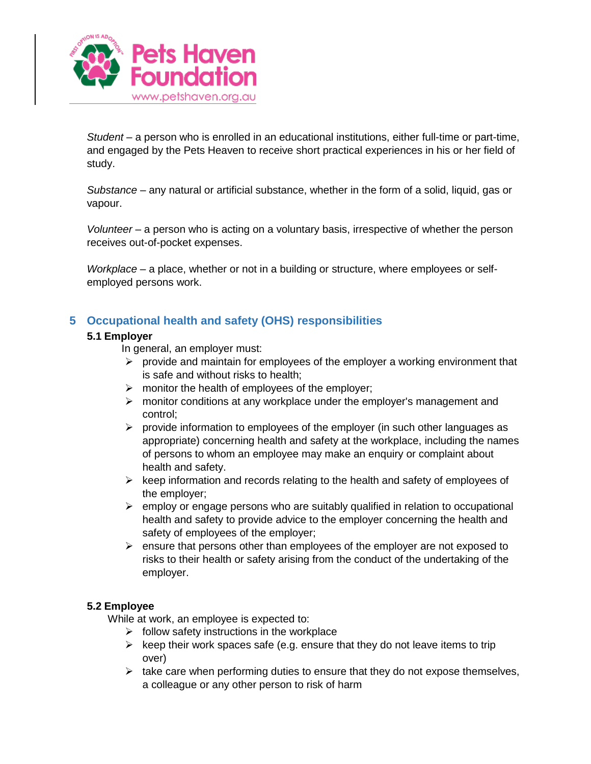

*Student* – a person who is enrolled in an educational institutions, either full-time or part-time, and engaged by the Pets Heaven to receive short practical experiences in his or her field of study.

*Substance* – any natural or artificial substance, whether in the form of a solid, liquid, gas or vapour.

*Volunteer –* a person who is acting on a voluntary basis, irrespective of whether the person receives out-of-pocket expenses.

*Workplace* – a place, whether or not in a building or structure, where employees or selfemployed persons work.

## <span id="page-4-1"></span><span id="page-4-0"></span>**5 Occupational health and safety (OHS) responsibilities**

## **5.1 Employer**

In general, an employer must:

- $\triangleright$  provide and maintain for employees of the employer a working environment that is safe and without risks to health;
- $\triangleright$  monitor the health of employees of the employer;
- $\triangleright$  monitor conditions at any workplace under the employer's management and control;
- $\triangleright$  provide information to employees of the employer (in such other languages as appropriate) concerning health and safety at the workplace, including the names of persons to whom an employee may make an enquiry or complaint about health and safety.
- $\triangleright$  keep information and records relating to the health and safety of employees of the employer;
- $\triangleright$  employ or engage persons who are suitably qualified in relation to occupational health and safety to provide advice to the employer concerning the health and safety of employees of the employer;
- $\triangleright$  ensure that persons other than employees of the employer are not exposed to risks to their health or safety arising from the conduct of the undertaking of the employer.

### <span id="page-4-2"></span>**5.2 Employee**

While at work, an employee is expected to:

- $\triangleright$  follow safety instructions in the workplace
- $\triangleright$  keep their work spaces safe (e.g. ensure that they do not leave items to trip over)
- $\triangleright$  take care when performing duties to ensure that they do not expose themselves, a colleague or any other person to risk of harm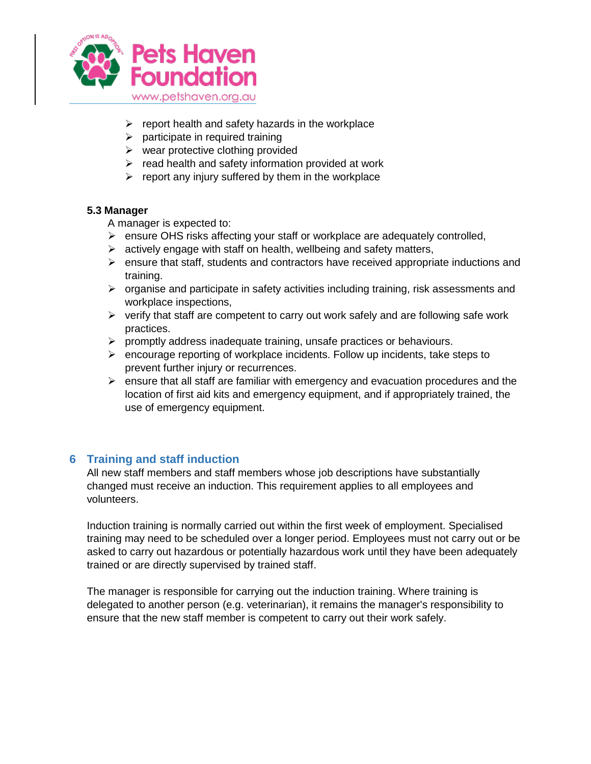

- $\triangleright$  report health and safety hazards in the workplace
- $\triangleright$  participate in required training
- $\triangleright$  wear protective clothing provided
- $\triangleright$  read health and safety information provided at work
- $\triangleright$  report any injury suffered by them in the workplace

### <span id="page-5-0"></span>**5.3 Manager**

A manager is expected to:

- $\triangleright$  ensure OHS risks affecting your staff or workplace are adequately controlled,
- $\triangleright$  actively engage with staff on health, wellbeing and safety matters,
- $\triangleright$  ensure that staff, students and contractors have received appropriate inductions and training.
- $\triangleright$  organise and participate in safety activities including training, risk assessments and workplace inspections,
- $\triangleright$  verify that staff are competent to carry out work safely and are following safe work practices.
- $\triangleright$  promptly address inadequate training, unsafe practices or behaviours.
- $\triangleright$  encourage reporting of workplace incidents. Follow up incidents, take steps to prevent further injury or recurrences.
- $\triangleright$  ensure that all staff are familiar with emergency and evacuation procedures and the location of first aid kits and emergency equipment, and if appropriately trained, the use of emergency equipment.

## <span id="page-5-1"></span>**6 Training and staff induction**

All new staff members and staff members whose job descriptions have substantially changed must receive an induction. This requirement applies to all employees and volunteers.

Induction training is normally carried out within the first week of employment. Specialised training may need to be scheduled over a longer period. Employees must not carry out or be asked to carry out hazardous or potentially hazardous work until they have been adequately trained or are directly supervised by trained staff.

The manager is responsible for carrying out the induction training. Where training is delegated to another person (e.g. veterinarian), it remains the manager's responsibility to ensure that the new staff member is competent to carry out their work safely.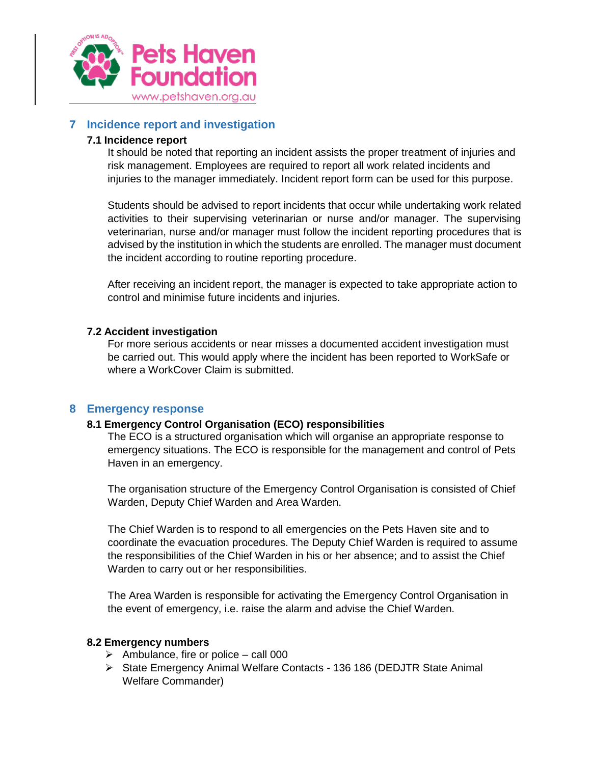

## <span id="page-6-1"></span><span id="page-6-0"></span>**7 Incidence report and investigation**

#### **7.1 Incidence report**

It should be noted that reporting an incident assists the proper treatment of injuries and risk management. Employees are required to report all work related incidents and injuries to the manager immediately. Incident report form can be used for this purpose.

Students should be advised to report incidents that occur while undertaking work related activities to their supervising veterinarian or nurse and/or manager. The supervising veterinarian, nurse and/or manager must follow the incident reporting procedures that is advised by the institution in which the students are enrolled. The manager must document the incident according to routine reporting procedure.

After receiving an incident report, the manager is expected to take appropriate action to control and minimise future incidents and injuries.

#### <span id="page-6-2"></span>**7.2 Accident investigation**

For more serious accidents or near misses a documented accident investigation must be carried out. This would apply where the incident has been reported to WorkSafe or where a WorkCover Claim is submitted.

### <span id="page-6-4"></span><span id="page-6-3"></span>**8 Emergency response**

#### **8.1 Emergency Control Organisation (ECO) responsibilities**

The ECO is a structured organisation which will organise an appropriate response to emergency situations. The ECO is responsible for the management and control of Pets Haven in an emergency.

The organisation structure of the Emergency Control Organisation is consisted of Chief Warden, Deputy Chief Warden and Area Warden.

The Chief Warden is to respond to all emergencies on the Pets Haven site and to coordinate the evacuation procedures. The Deputy Chief Warden is required to assume the responsibilities of the Chief Warden in his or her absence; and to assist the Chief Warden to carry out or her responsibilities.

The Area Warden is responsible for activating the Emergency Control Organisation in the event of emergency, i.e. raise the alarm and advise the Chief Warden.

#### <span id="page-6-5"></span>**8.2 Emergency numbers**

- $\triangleright$  Ambulance, fire or police call 000
- State Emergency Animal Welfare Contacts 136 186 (DEDJTR State Animal Welfare Commander)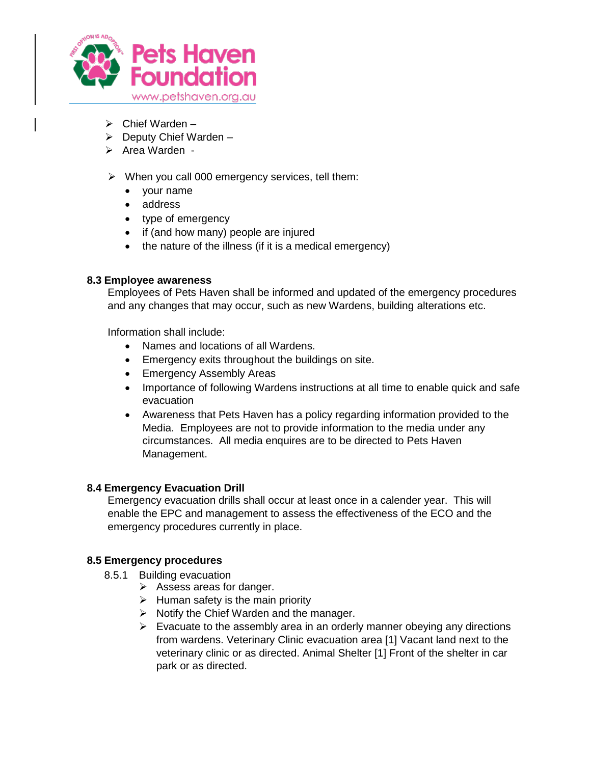

- $\triangleright$  Chief Warden –
- $\triangleright$  Deputy Chief Warden –
- $\triangleright$  Area Warden -
- $\triangleright$  When you call 000 emergency services, tell them:
	- your name
	- address
	- type of emergency
	- if (and how many) people are injured
	- the nature of the illness (if it is a medical emergency)

### <span id="page-7-0"></span>**8.3 Employee awareness**

Employees of Pets Haven shall be informed and updated of the emergency procedures and any changes that may occur, such as new Wardens, building alterations etc.

Information shall include:

- Names and locations of all Wardens.
- **Emergency exits throughout the buildings on site.**
- Emergency Assembly Areas
- Importance of following Wardens instructions at all time to enable quick and safe evacuation
- Awareness that Pets Haven has a policy regarding information provided to the Media. Employees are not to provide information to the media under any circumstances. All media enquires are to be directed to Pets Haven Management.

### <span id="page-7-1"></span>**8.4 Emergency Evacuation Drill**

Emergency evacuation drills shall occur at least once in a calender year. This will enable the EPC and management to assess the effectiveness of the ECO and the emergency procedures currently in place.

### <span id="page-7-3"></span><span id="page-7-2"></span>**8.5 Emergency procedures**

- 8.5.1 Building evacuation
	- $\triangleright$  Assess areas for danger.
	- $\triangleright$  Human safety is the main priority
	- $\triangleright$  Notify the Chief Warden and the manager.
	- $\triangleright$  Evacuate to the assembly area in an orderly manner obeying any directions from wardens. Veterinary Clinic evacuation area [1] Vacant land next to the veterinary clinic or as directed. Animal Shelter [1] Front of the shelter in car park or as directed.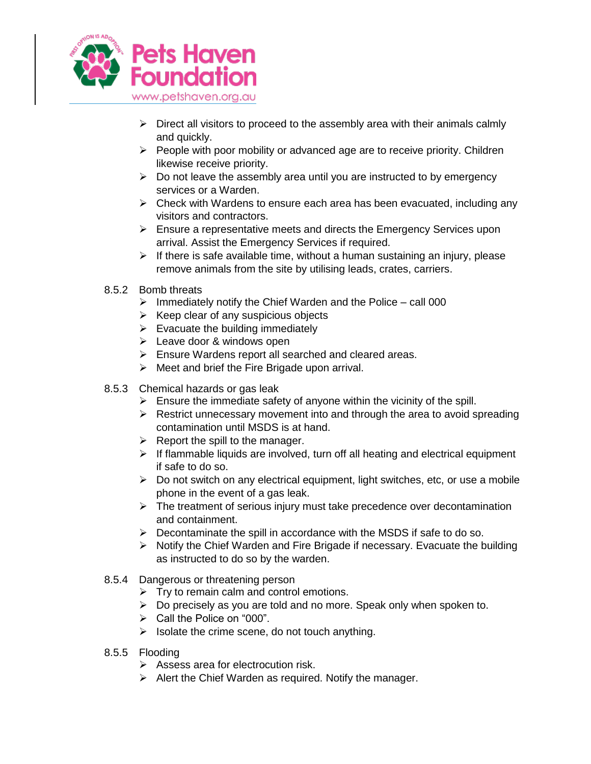

- $\triangleright$  Direct all visitors to proceed to the assembly area with their animals calmly and quickly.
- $\triangleright$  People with poor mobility or advanced age are to receive priority. Children likewise receive priority.
- $\triangleright$  Do not leave the assembly area until you are instructed to by emergency services or a Warden.
- $\triangleright$  Check with Wardens to ensure each area has been evacuated, including any visitors and contractors.
- $\triangleright$  Ensure a representative meets and directs the Emergency Services upon arrival. Assist the Emergency Services if required.
- $\triangleright$  If there is safe available time, without a human sustaining an injury, please remove animals from the site by utilising leads, crates, carriers.
- <span id="page-8-0"></span>8.5.2 Bomb threats
	- $\triangleright$  Immediately notify the Chief Warden and the Police call 000
	- $\triangleright$  Keep clear of any suspicious objects
	- $\triangleright$  Evacuate the building immediately
	- $\triangleright$  Leave door & windows open
	- Ensure Wardens report all searched and cleared areas.
	- $\triangleright$  Meet and brief the Fire Brigade upon arrival.
- <span id="page-8-1"></span>8.5.3 Chemical hazards or gas leak
	- $\triangleright$  Ensure the immediate safety of anyone within the vicinity of the spill.
	- $\triangleright$  Restrict unnecessary movement into and through the area to avoid spreading contamination until MSDS is at hand.
	- $\triangleright$  Report the spill to the manager.
	- $\triangleright$  If flammable liquids are involved, turn off all heating and electrical equipment if safe to do so.
	- $\triangleright$  Do not switch on any electrical equipment, light switches, etc, or use a mobile phone in the event of a gas leak.
	- $\triangleright$  The treatment of serious injury must take precedence over decontamination and containment.
	- $\triangleright$  Decontaminate the spill in accordance with the MSDS if safe to do so.
	- $\triangleright$  Notify the Chief Warden and Fire Brigade if necessary. Evacuate the building as instructed to do so by the warden.
- <span id="page-8-2"></span>8.5.4 Dangerous or threatening person
	- $\triangleright$  Try to remain calm and control emotions.
	- $\triangleright$  Do precisely as you are told and no more. Speak only when spoken to.
	- $\triangleright$  Call the Police on "000".
	- $\triangleright$  Isolate the crime scene, do not touch anything.
- <span id="page-8-3"></span>8.5.5 Flooding
	- $\triangleright$  Assess area for electrocution risk.
	- $\triangleright$  Alert the Chief Warden as required. Notify the manager.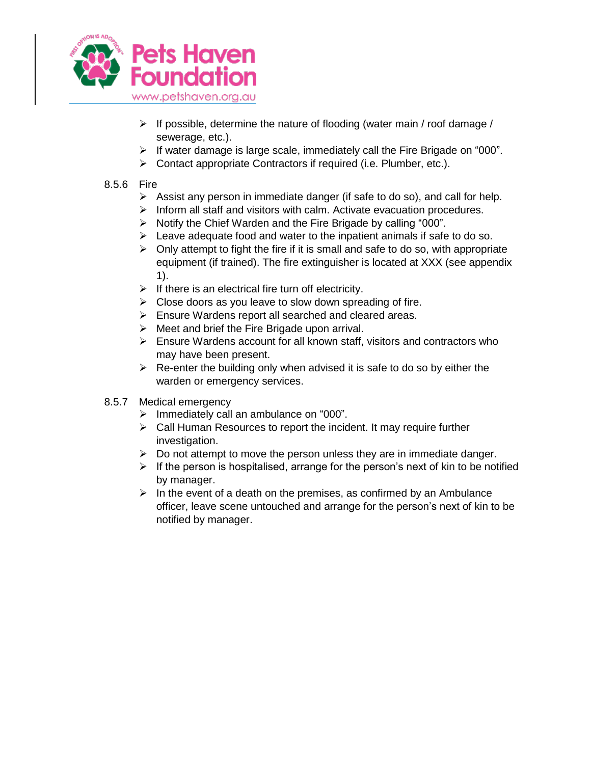

- $\triangleright$  If possible, determine the nature of flooding (water main / roof damage / sewerage, etc.).
- $\triangleright$  If water damage is large scale, immediately call the Fire Brigade on "000".
- ▶ Contact appropriate Contractors if required (i.e. Plumber, etc.).

## <span id="page-9-0"></span>8.5.6 Fire

- $\triangleright$  Assist any person in immediate danger (if safe to do so), and call for help.
- $\triangleright$  Inform all staff and visitors with calm. Activate evacuation procedures.
- $\triangleright$  Notify the Chief Warden and the Fire Brigade by calling "000".
- $\triangleright$  Leave adequate food and water to the inpatient animals if safe to do so.
- $\triangleright$  Only attempt to fight the fire if it is small and safe to do so, with appropriate equipment (if trained). The fire extinguisher is located at XXX (see appendix 1).
- $\triangleright$  If there is an electrical fire turn off electricity.
- $\triangleright$  Close doors as you leave to slow down spreading of fire.
- Ensure Wardens report all searched and cleared areas.
- $\triangleright$  Meet and brief the Fire Brigade upon arrival.
- $\triangleright$  Ensure Wardens account for all known staff, visitors and contractors who may have been present.
- $\triangleright$  Re-enter the building only when advised it is safe to do so by either the warden or emergency services.
- <span id="page-9-1"></span>8.5.7 Medical emergency
	- $\triangleright$  Immediately call an ambulance on "000".
	- $\triangleright$  Call Human Resources to report the incident. It may require further investigation.
	- $\triangleright$  Do not attempt to move the person unless they are in immediate danger.
	- $\triangleright$  If the person is hospitalised, arrange for the person's next of kin to be notified by manager.
	- $\triangleright$  In the event of a death on the premises, as confirmed by an Ambulance officer, leave scene untouched and arrange for the person's next of kin to be notified by manager.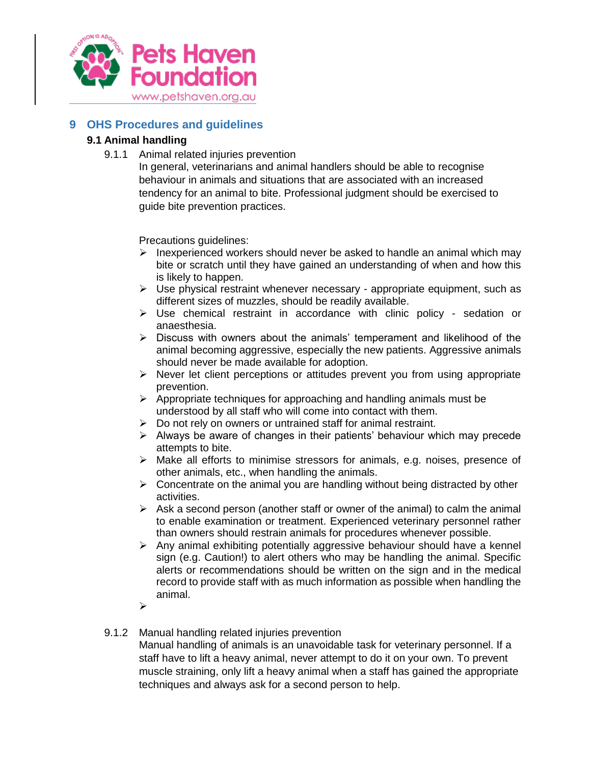

## <span id="page-10-1"></span><span id="page-10-0"></span>**9 OHS Procedures and guidelines**

## <span id="page-10-2"></span>**9.1 Animal handling**

9.1.1 Animal related injuries prevention

In general, veterinarians and animal handlers should be able to recognise behaviour in animals and situations that are associated with an increased tendency for an animal to bite. Professional judgment should be exercised to guide bite prevention practices.

Precautions guidelines:

- $\triangleright$  Inexperienced workers should never be asked to handle an animal which may bite or scratch until they have gained an understanding of when and how this is likely to happen.
- $\triangleright$  Use physical restraint whenever necessary appropriate equipment, such as different sizes of muzzles, should be readily available.
- $\triangleright$  Use chemical restraint in accordance with clinic policy sedation or anaesthesia.
- $\triangleright$  Discuss with owners about the animals' temperament and likelihood of the animal becoming aggressive, especially the new patients. Aggressive animals should never be made available for adoption.
- $\triangleright$  Never let client perceptions or attitudes prevent you from using appropriate prevention.
- $\triangleright$  Appropriate techniques for approaching and handling animals must be understood by all staff who will come into contact with them.
- $\triangleright$  Do not rely on owners or untrained staff for animal restraint.
- $\triangleright$  Always be aware of changes in their patients' behaviour which may precede attempts to bite.
- $\triangleright$  Make all efforts to minimise stressors for animals, e.g. noises, presence of other animals, etc., when handling the animals.
- $\triangleright$  Concentrate on the animal you are handling without being distracted by other activities.
- $\triangleright$  Ask a second person (another staff or owner of the animal) to calm the animal to enable examination or treatment. Experienced veterinary personnel rather than owners should restrain animals for procedures whenever possible.
- $\triangleright$  Any animal exhibiting potentially aggressive behaviour should have a kennel sign (e.g. Caution!) to alert others who may be handling the animal. Specific alerts or recommendations should be written on the sign and in the medical record to provide staff with as much information as possible when handling the animal.
- $\blacktriangleright$

### <span id="page-10-3"></span>9.1.2 Manual handling related injuries prevention

Manual handling of animals is an unavoidable task for veterinary personnel. If a staff have to lift a heavy animal, never attempt to do it on your own. To prevent muscle straining, only lift a heavy animal when a staff has gained the appropriate techniques and always ask for a second person to help.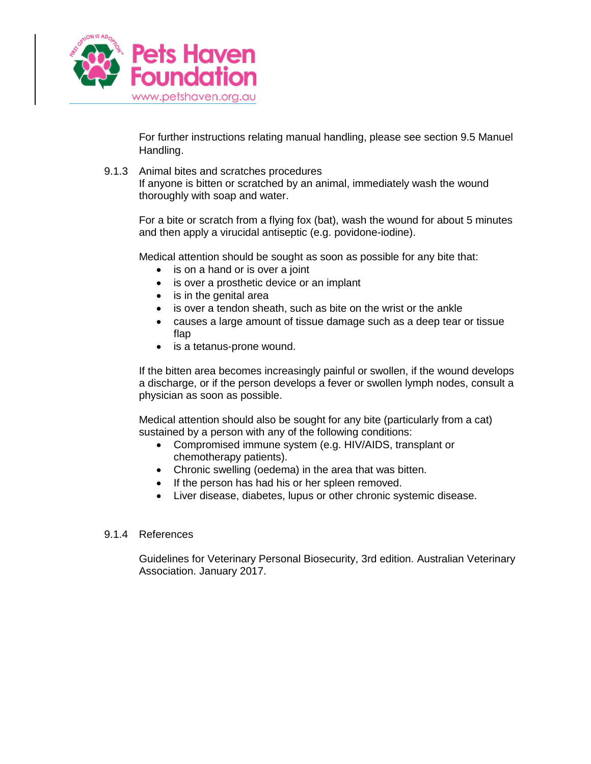

For further instructions relating manual handling, please see section 9.5 Manuel Handling.

<span id="page-11-0"></span>9.1.3 Animal bites and scratches procedures

If anyone is bitten or scratched by an animal, immediately wash the wound thoroughly with soap and water.

For a bite or scratch from a flying fox (bat), wash the wound for about 5 minutes and then apply a virucidal antiseptic (e.g. povidone-iodine).

Medical attention should be sought as soon as possible for any bite that:

- is on a hand or is over a joint
- is over a prosthetic device or an implant
- is in the genital area
- is over a tendon sheath, such as bite on the wrist or the ankle
- causes a large amount of tissue damage such as a deep tear or tissue flap
- is a tetanus-prone wound.

If the bitten area becomes increasingly painful or swollen, if the wound develops a discharge, or if the person develops a fever or swollen lymph nodes, consult a physician as soon as possible.

Medical attention should also be sought for any bite (particularly from a cat) sustained by a person with any of the following conditions:

- Compromised immune system (e.g. HIV/AIDS, transplant or chemotherapy patients).
- Chronic swelling (oedema) in the area that was bitten.
- If the person has had his or her spleen removed.
- Liver disease, diabetes, lupus or other chronic systemic disease.

#### <span id="page-11-1"></span>9.1.4 References

Guidelines for Veterinary Personal Biosecurity, 3rd edition. Australian Veterinary Association. January 2017.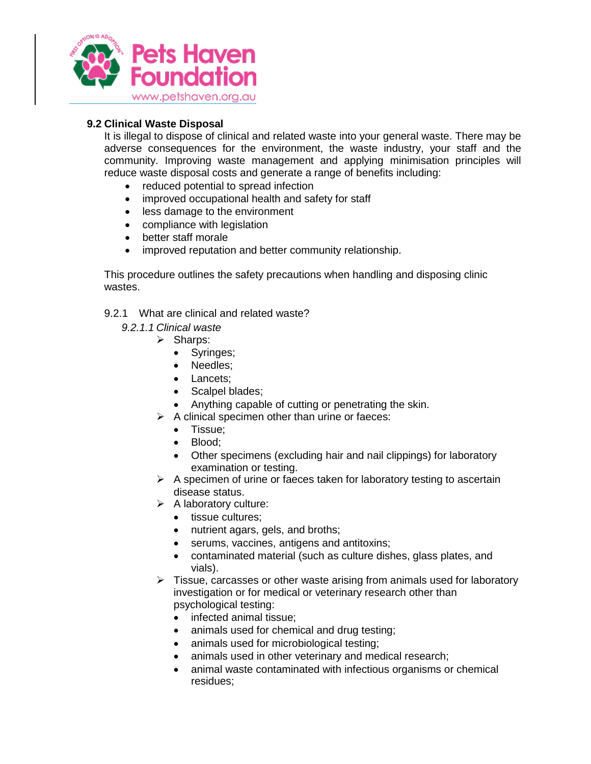

## <span id="page-12-0"></span>**9.2 Clinical Waste Disposal**

It is illegal to dispose of clinical and related waste into your general waste. There may be adverse consequences for the environment, the waste industry, your staff and the community. Improving waste management and applying minimisation principles will reduce waste disposal costs and generate a range of benefits including:

- reduced potential to spread infection
- improved occupational health and safety for staff
- less damage to the environment
- compliance with legislation
- better staff morale
- improved reputation and better community relationship.

This procedure outlines the safety precautions when handling and disposing clinic wastes.

- <span id="page-12-1"></span>9.2.1 What are clinical and related waste?
	- *9.2.1.1 Clinical waste*
		- $\triangleright$  Sharps:
			- Syringes;
			- Needles:
			- Lancets:
			- Scalpel blades;
			- Anything capable of cutting or penetrating the skin.
		- $\triangleright$  A clinical specimen other than urine or faeces:
			- Tissue;
			- Blood;
			- Other specimens (excluding hair and nail clippings) for laboratory examination or testing.
		- $\triangleright$  A specimen of urine or faeces taken for laboratory testing to ascertain disease status.
		- $\triangleright$  A laboratory culture:
			- tissue cultures;
			- nutrient agars, gels, and broths;
			- serums, vaccines, antigens and antitoxins;
			- contaminated material (such as culture dishes, glass plates, and vials).
		- $\triangleright$  Tissue, carcasses or other waste arising from animals used for laboratory investigation or for medical or veterinary research other than psychological testing:
			- infected animal tissue;
			- animals used for chemical and drug testing;
			- animals used for microbiological testing;
			- animals used in other veterinary and medical research;
			- animal waste contaminated with infectious organisms or chemical residues;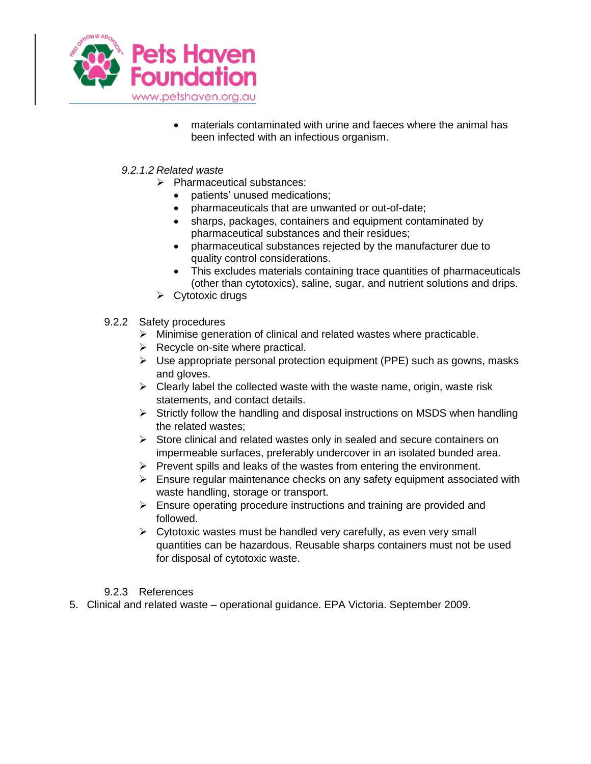

 materials contaminated with urine and faeces where the animal has been infected with an infectious organism.

## *9.2.1.2 Related waste*

- $\triangleright$  Pharmaceutical substances:
	- patients' unused medications:
	- pharmaceuticals that are unwanted or out-of-date;
	- sharps, packages, containers and equipment contaminated by pharmaceutical substances and their residues;
	- pharmaceutical substances rejected by the manufacturer due to quality control considerations.
	- This excludes materials containing trace quantities of pharmaceuticals (other than cytotoxics), saline, sugar, and nutrient solutions and drips.
- $\triangleright$  Cytotoxic drugs
- <span id="page-13-0"></span>9.2.2 Safety procedures
	- $\triangleright$  Minimise generation of clinical and related wastes where practicable.
	- $\triangleright$  Recycle on-site where practical.
	- $\triangleright$  Use appropriate personal protection equipment (PPE) such as gowns, masks and gloves.
	- $\triangleright$  Clearly label the collected waste with the waste name, origin, waste risk statements, and contact details.
	- $\triangleright$  Strictly follow the handling and disposal instructions on MSDS when handling the related wastes;
	- $\triangleright$  Store clinical and related wastes only in sealed and secure containers on impermeable surfaces, preferably undercover in an isolated bunded area.
	- $\triangleright$  Prevent spills and leaks of the wastes from entering the environment.
	- $\triangleright$  Ensure regular maintenance checks on any safety equipment associated with waste handling, storage or transport.
	- $\triangleright$  Ensure operating procedure instructions and training are provided and followed.
	- $\triangleright$  Cytotoxic wastes must be handled very carefully, as even very small quantities can be hazardous. Reusable sharps containers must not be used for disposal of cytotoxic waste.

### 9.2.3 References

<span id="page-13-1"></span>5. Clinical and related waste – operational guidance. EPA Victoria. September 2009.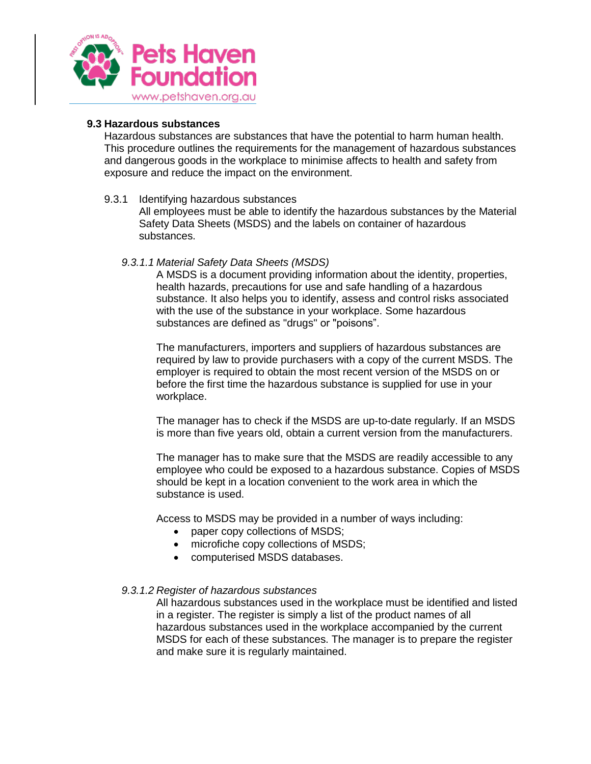

#### <span id="page-14-0"></span>**9.3 Hazardous substances**

Hazardous substances are substances that have the potential to harm human health. This procedure outlines the requirements for the management of hazardous substances and dangerous goods in the workplace to minimise affects to health and safety from exposure and reduce the impact on the environment.

#### <span id="page-14-1"></span>9.3.1 Identifying hazardous substances

All employees must be able to identify the hazardous substances by the Material Safety Data Sheets (MSDS) and the labels on container of hazardous substances.

#### *9.3.1.1 Material Safety Data Sheets (MSDS)*

A MSDS is a document providing information about the identity, properties, health hazards, precautions for use and safe handling of a hazardous substance. It also helps you to identify, assess and control risks associated with the use of the substance in your workplace. Some hazardous substances are defined as "drugs" or "poisons".

The manufacturers, importers and suppliers of hazardous substances are required by law to provide purchasers with a copy of the current MSDS. The employer is required to obtain the most recent version of the MSDS on or before the first time the hazardous substance is supplied for use in your workplace.

The manager has to check if the MSDS are up-to-date regularly. If an MSDS is more than five years old, obtain a current version from the manufacturers.

The manager has to make sure that the MSDS are readily accessible to any employee who could be exposed to a hazardous substance. Copies of MSDS should be kept in a location convenient to the work area in which the substance is used.

Access to MSDS may be provided in a number of ways including:

- paper copy collections of MSDS;
- microfiche copy collections of MSDS;
- computerised MSDS databases.

#### *9.3.1.2 Register of hazardous substances*

All hazardous substances used in the workplace must be identified and listed in a register. The register is simply a list of the product names of all hazardous substances used in the workplace accompanied by the current MSDS for each of these substances. The manager is to prepare the register and make sure it is regularly maintained.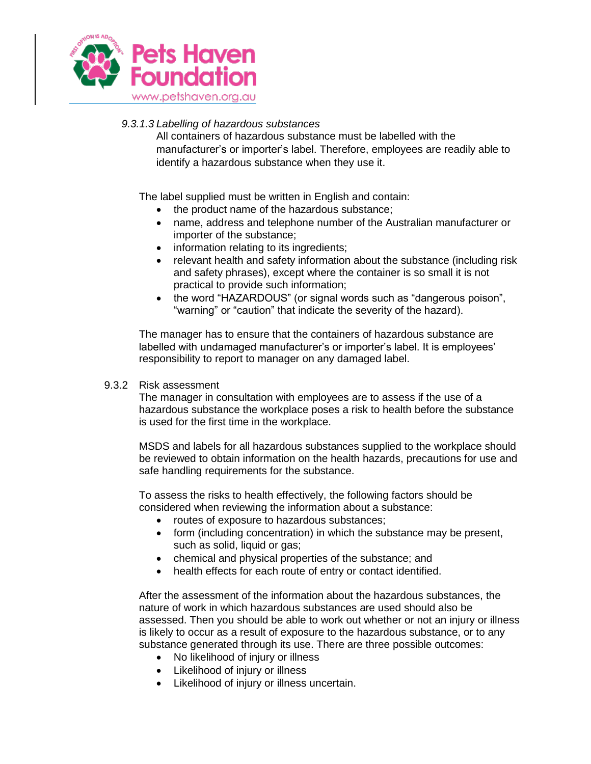

## *9.3.1.3 Labelling of hazardous substances*

All containers of hazardous substance must be labelled with the manufacturer's or importer's label. Therefore, employees are readily able to identify a hazardous substance when they use it.

The label supplied must be written in English and contain:

- the product name of the hazardous substance;
- name, address and telephone number of the Australian manufacturer or importer of the substance;
- information relating to its ingredients;
- relevant health and safety information about the substance (including risk and safety phrases), except where the container is so small it is not practical to provide such information;
- the word "HAZARDOUS" (or signal words such as "dangerous poison", "warning" or "caution" that indicate the severity of the hazard).

The manager has to ensure that the containers of hazardous substance are labelled with undamaged manufacturer's or importer's label. It is employees' responsibility to report to manager on any damaged label.

#### <span id="page-15-0"></span>9.3.2 Risk assessment

The manager in consultation with employees are to assess if the use of a hazardous substance the workplace poses a risk to health before the substance is used for the first time in the workplace.

MSDS and labels for all hazardous substances supplied to the workplace should be reviewed to obtain information on the health hazards, precautions for use and safe handling requirements for the substance.

To assess the risks to health effectively, the following factors should be considered when reviewing the information about a substance:

- routes of exposure to hazardous substances;
- form (including concentration) in which the substance may be present, such as solid, liquid or gas;
- chemical and physical properties of the substance; and
- health effects for each route of entry or contact identified.

After the assessment of the information about the hazardous substances, the nature of work in which hazardous substances are used should also be assessed. Then you should be able to work out whether or not an injury or illness is likely to occur as a result of exposure to the hazardous substance, or to any substance generated through its use. There are three possible outcomes:

- No likelihood of injury or illness
- Likelihood of injury or illness
- Likelihood of injury or illness uncertain.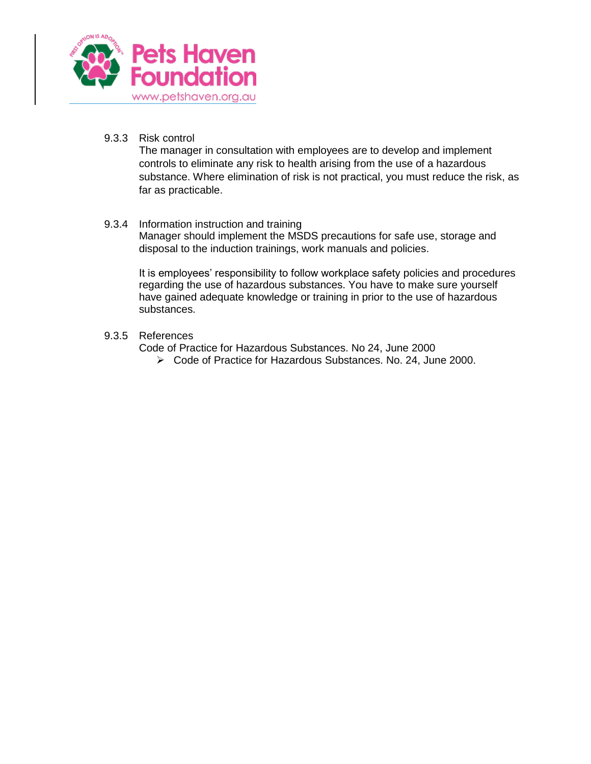

<span id="page-16-0"></span>9.3.3 Risk control

The manager in consultation with employees are to develop and implement controls to eliminate any risk to health arising from the use of a hazardous substance. Where elimination of risk is not practical, you must reduce the risk, as far as practicable.

#### <span id="page-16-1"></span>9.3.4 Information instruction and training

Manager should implement the MSDS precautions for safe use, storage and disposal to the induction trainings, work manuals and policies.

It is employees' responsibility to follow workplace safety policies and procedures regarding the use of hazardous substances. You have to make sure yourself have gained adequate knowledge or training in prior to the use of hazardous substances.

#### <span id="page-16-2"></span>9.3.5 References

- Code of Practice for Hazardous Substances. No 24, June 2000
	- Code of Practice for Hazardous Substances. No. 24, June 2000.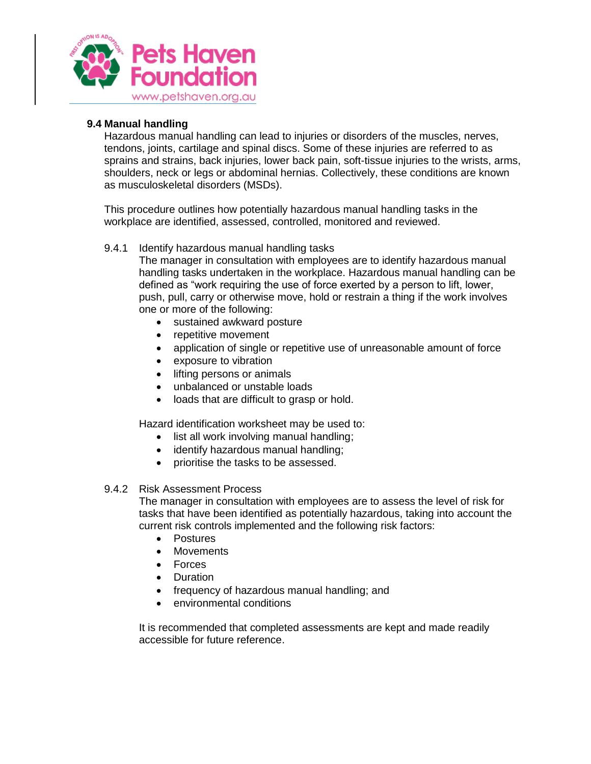

### <span id="page-17-0"></span>**9.4 Manual handling**

Hazardous manual handling can lead to injuries or disorders of the muscles, nerves, tendons, joints, cartilage and spinal discs. Some of these injuries are referred to as sprains and strains, back injuries, lower back pain, soft-tissue injuries to the wrists, arms, shoulders, neck or legs or abdominal hernias. Collectively, these conditions are known as musculoskeletal disorders (MSDs).

This procedure outlines how potentially hazardous manual handling tasks in the workplace are identified, assessed, controlled, monitored and reviewed.

#### <span id="page-17-1"></span>9.4.1 Identify hazardous manual handling tasks

The manager in consultation with employees are to identify hazardous manual handling tasks undertaken in the workplace. Hazardous manual handling can be defined as "work requiring the use of force exerted by a person to lift, lower, push, pull, carry or otherwise move, hold or restrain a thing if the work involves one or more of the following:

- sustained awkward posture
- repetitive movement
- application of single or repetitive use of unreasonable amount of force
- exposure to vibration
- lifting persons or animals
- unbalanced or unstable loads
- loads that are difficult to grasp or hold.

Hazard identification worksheet may be used to:

- list all work involving manual handling;
- identify hazardous manual handling;
- prioritise the tasks to be assessed.

#### <span id="page-17-2"></span>9.4.2 Risk Assessment Process

The manager in consultation with employees are to assess the level of risk for tasks that have been identified as potentially hazardous, taking into account the current risk controls implemented and the following risk factors:

- Postures
- Movements
- Forces
- Duration
- frequency of hazardous manual handling; and
- environmental conditions

It is recommended that completed assessments are kept and made readily accessible for future reference.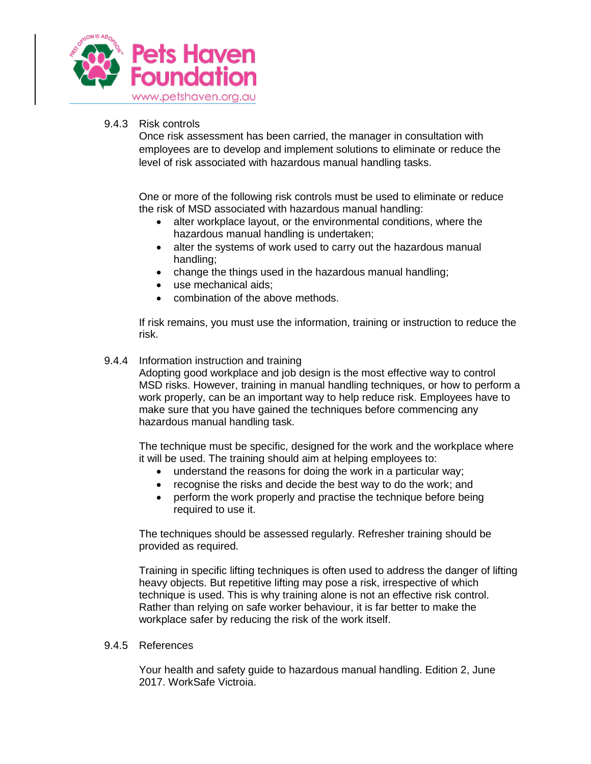

#### <span id="page-18-0"></span>9.4.3 Risk controls

Once risk assessment has been carried, the manager in consultation with employees are to develop and implement solutions to eliminate or reduce the level of risk associated with hazardous manual handling tasks.

One or more of the following risk controls must be used to eliminate or reduce the risk of MSD associated with hazardous manual handling:

- alter workplace layout, or the environmental conditions, where the hazardous manual handling is undertaken;
- alter the systems of work used to carry out the hazardous manual handling;
- change the things used in the hazardous manual handling;
- use mechanical aids;
- combination of the above methods.

If risk remains, you must use the information, training or instruction to reduce the risk.

#### <span id="page-18-1"></span>9.4.4 Information instruction and training

Adopting good workplace and job design is the most effective way to control MSD risks. However, training in manual handling techniques, or how to perform a work properly, can be an important way to help reduce risk. Employees have to make sure that you have gained the techniques before commencing any hazardous manual handling task.

The technique must be specific, designed for the work and the workplace where it will be used. The training should aim at helping employees to:

- understand the reasons for doing the work in a particular way;
- recognise the risks and decide the best way to do the work; and
- perform the work properly and practise the technique before being required to use it.

The techniques should be assessed regularly. Refresher training should be provided as required.

Training in specific lifting techniques is often used to address the danger of lifting heavy objects. But repetitive lifting may pose a risk, irrespective of which technique is used. This is why training alone is not an effective risk control. Rather than relying on safe worker behaviour, it is far better to make the workplace safer by reducing the risk of the work itself.

#### <span id="page-18-2"></span>9.4.5 References

Your health and safety guide to hazardous manual handling. Edition 2, June 2017. WorkSafe Victroia.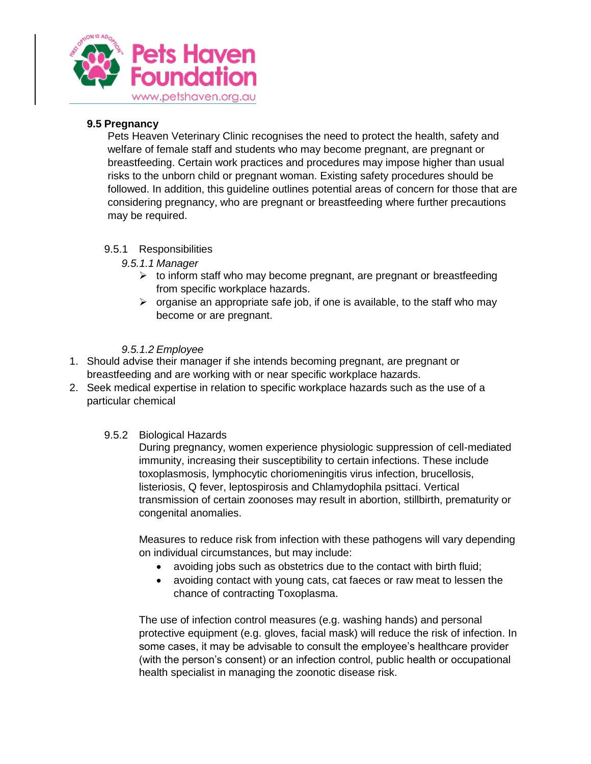

## <span id="page-19-0"></span>**9.5 Pregnancy**

Pets Heaven Veterinary Clinic recognises the need to protect the health, safety and welfare of female staff and students who may become pregnant, are pregnant or breastfeeding. Certain work practices and procedures may impose higher than usual risks to the unborn child or pregnant woman. Existing safety procedures should be followed. In addition, this guideline outlines potential areas of concern for those that are considering pregnancy, who are pregnant or breastfeeding where further precautions may be required.

## <span id="page-19-1"></span>9.5.1 Responsibilities

- *9.5.1.1 Manager*
	- $\triangleright$  to inform staff who may become pregnant, are pregnant or breastfeeding from specific workplace hazards.
	- $\triangleright$  organise an appropriate safe job, if one is available, to the staff who may become or are pregnant.

## *9.5.1.2 Employee*

- 1. Should advise their manager if she intends becoming pregnant, are pregnant or breastfeeding and are working with or near specific workplace hazards.
- 2. Seek medical expertise in relation to specific workplace hazards such as the use of a particular chemical

### <span id="page-19-2"></span>9.5.2 Biological Hazards

During pregnancy, women experience physiologic suppression of cell-mediated immunity, increasing their susceptibility to certain infections. These include toxoplasmosis, lymphocytic choriomeningitis virus infection, brucellosis, listeriosis, Q fever, leptospirosis and Chlamydophila psittaci. Vertical transmission of certain zoonoses may result in abortion, stillbirth, prematurity or congenital anomalies.

Measures to reduce risk from infection with these pathogens will vary depending on individual circumstances, but may include:

- avoiding jobs such as obstetrics due to the contact with birth fluid;
- avoiding contact with young cats, cat faeces or raw meat to lessen the chance of contracting Toxoplasma.

The use of infection control measures (e.g. washing hands) and personal protective equipment (e.g. gloves, facial mask) will reduce the risk of infection. In some cases, it may be advisable to consult the employee's healthcare provider (with the person's consent) or an infection control, public health or occupational health specialist in managing the zoonotic disease risk.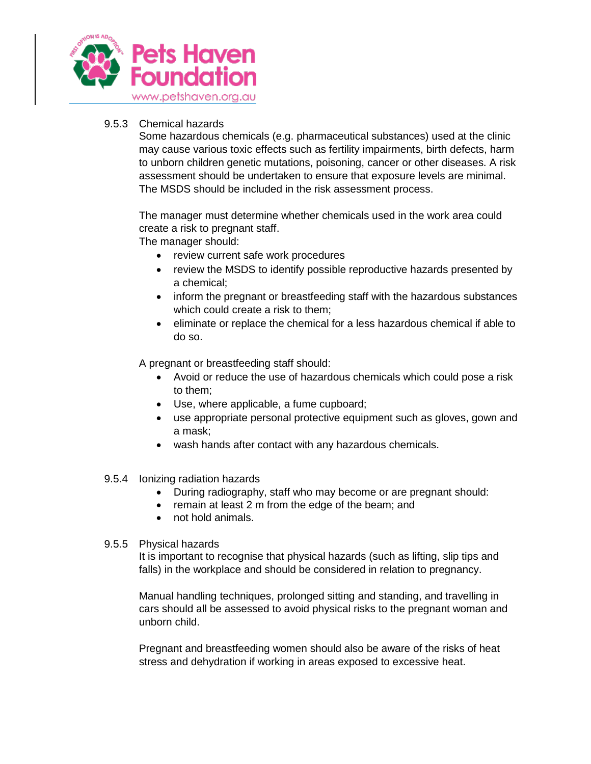

#### <span id="page-20-0"></span>9.5.3 Chemical hazards

Some hazardous chemicals (e.g. pharmaceutical substances) used at the clinic may cause various toxic effects such as fertility impairments, birth defects, harm to unborn children genetic mutations, poisoning, cancer or other diseases. A risk assessment should be undertaken to ensure that exposure levels are minimal. The MSDS should be included in the risk assessment process.

The manager must determine whether chemicals used in the work area could create a risk to pregnant staff.

The manager should:

- review current safe work procedures
- review the MSDS to identify possible reproductive hazards presented by a chemical;
- inform the pregnant or breastfeeding staff with the hazardous substances which could create a risk to them;
- eliminate or replace the chemical for a less hazardous chemical if able to do so.

A pregnant or breastfeeding staff should:

- Avoid or reduce the use of hazardous chemicals which could pose a risk to them;
- Use, where applicable, a fume cupboard;
- use appropriate personal protective equipment such as gloves, gown and a mask;
- wash hands after contact with any hazardous chemicals.
- <span id="page-20-1"></span>9.5.4 Ionizing radiation hazards
	- During radiography, staff who may become or are pregnant should:
	- remain at least 2 m from the edge of the beam; and
	- not hold animals.

#### <span id="page-20-2"></span>9.5.5 Physical hazards

It is important to recognise that physical hazards (such as lifting, slip tips and falls) in the workplace and should be considered in relation to pregnancy.

Manual handling techniques, prolonged sitting and standing, and travelling in cars should all be assessed to avoid physical risks to the pregnant woman and unborn child.

Pregnant and breastfeeding women should also be aware of the risks of heat stress and dehydration if working in areas exposed to excessive heat.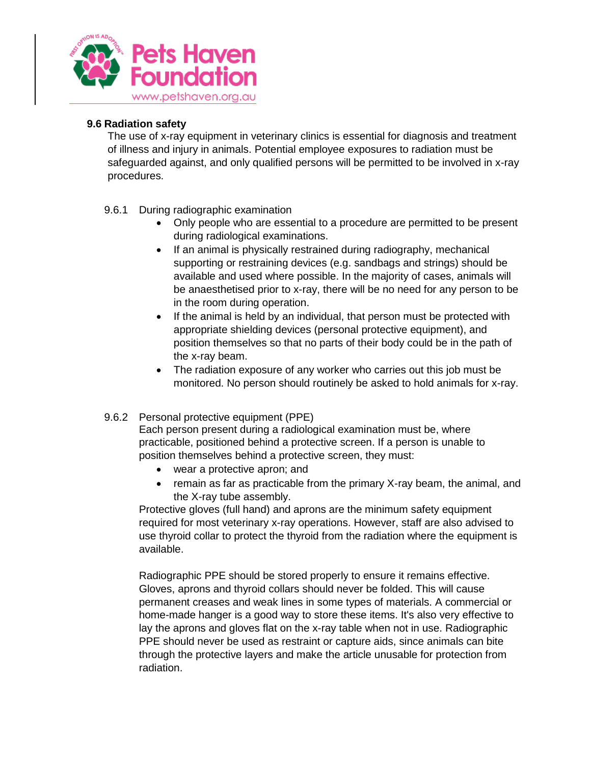

## <span id="page-21-0"></span>**9.6 Radiation safety**

The use of x-ray equipment in veterinary clinics is essential for diagnosis and treatment of illness and injury in animals. Potential employee exposures to radiation must be safeguarded against, and only qualified persons will be permitted to be involved in x-ray procedures.

## <span id="page-21-1"></span>9.6.1 During radiographic examination

- Only people who are essential to a procedure are permitted to be present during radiological examinations.
- If an animal is physically restrained during radiography, mechanical supporting or restraining devices (e.g. sandbags and strings) should be available and used where possible. In the majority of cases, animals will be anaesthetised prior to x-ray, there will be no need for any person to be in the room during operation.
- If the animal is held by an individual, that person must be protected with appropriate shielding devices (personal protective equipment), and position themselves so that no parts of their body could be in the path of the x-ray beam.
- The radiation exposure of any worker who carries out this job must be monitored. No person should routinely be asked to hold animals for x-ray.

### <span id="page-21-2"></span>9.6.2 Personal protective equipment (PPE)

Each person present during a radiological examination must be, where practicable, positioned behind a protective screen. If a person is unable to position themselves behind a protective screen, they must:

- wear a protective apron; and
- remain as far as practicable from the primary X-ray beam, the animal, and the X-ray tube assembly.

Protective gloves (full hand) and aprons are the minimum safety equipment required for most veterinary x-ray operations. However, staff are also advised to use thyroid collar to protect the thyroid from the radiation where the equipment is available.

Radiographic PPE should be stored properly to ensure it remains effective. Gloves, aprons and thyroid collars should never be folded. This will cause permanent creases and weak lines in some types of materials. A commercial or home-made hanger is a good way to store these items. It's also very effective to lay the aprons and gloves flat on the x-ray table when not in use. Radiographic PPE should never be used as restraint or capture aids, since animals can bite through the protective layers and make the article unusable for protection from radiation.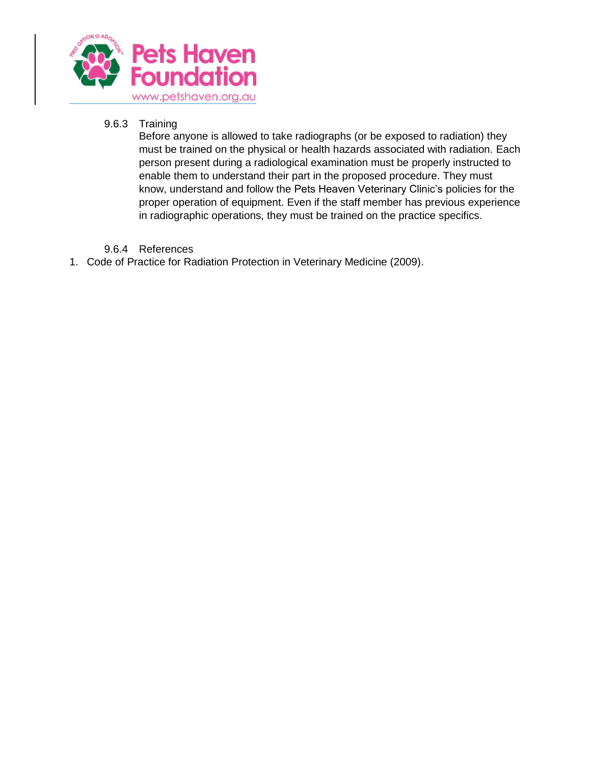

## <span id="page-22-0"></span>9.6.3 Training

Before anyone is allowed to take radiographs (or be exposed to radiation) they must be trained on the physical or health hazards associated with radiation. Each person present during a radiological examination must be properly instructed to enable them to understand their part in the proposed procedure. They must know, understand and follow the Pets Heaven Veterinary Clinic's policies for the proper operation of equipment. Even if the staff member has previous experience in radiographic operations, they must be trained on the practice specifics.

## 9.6.4 References

<span id="page-22-1"></span>1. Code of Practice for Radiation Protection in Veterinary Medicine (2009).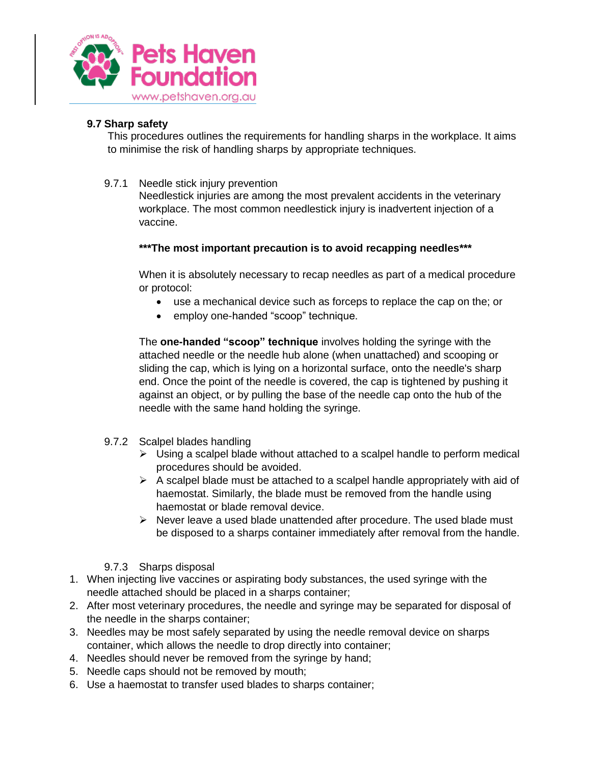

## <span id="page-23-0"></span>**9.7 Sharp safety**

This procedures outlines the requirements for handling sharps in the workplace. It aims to minimise the risk of handling sharps by appropriate techniques.

<span id="page-23-1"></span>9.7.1 Needle stick injury prevention

Needlestick injuries are among the most prevalent accidents in the veterinary workplace. The most common needlestick injury is inadvertent injection of a vaccine.

## **\*\*\*The most important precaution is to avoid recapping needles\*\*\***

When it is absolutely necessary to recap needles as part of a medical procedure or protocol:

- use a mechanical device such as forceps to replace the cap on the; or
- employ one-handed "scoop" technique.

The **one-handed "scoop" technique** involves holding the syringe with the attached needle or the needle hub alone (when unattached) and scooping or sliding the cap, which is lying on a horizontal surface, onto the needle's sharp end. Once the point of the needle is covered, the cap is tightened by pushing it against an object, or by pulling the base of the needle cap onto the hub of the needle with the same hand holding the syringe.

- <span id="page-23-2"></span>9.7.2 Scalpel blades handling
	- $\triangleright$  Using a scalpel blade without attached to a scalpel handle to perform medical procedures should be avoided.
	- $\triangleright$  A scalpel blade must be attached to a scalpel handle appropriately with aid of haemostat. Similarly, the blade must be removed from the handle using haemostat or blade removal device.
	- $\triangleright$  Never leave a used blade unattended after procedure. The used blade must be disposed to a sharps container immediately after removal from the handle.
- 9.7.3 Sharps disposal
- <span id="page-23-3"></span>1. When injecting live vaccines or aspirating body substances, the used syringe with the needle attached should be placed in a sharps container;
- 2. After most veterinary procedures, the needle and syringe may be separated for disposal of the needle in the sharps container;
- 3. Needles may be most safely separated by using the needle removal device on sharps container, which allows the needle to drop directly into container;
- 4. Needles should never be removed from the syringe by hand;
- 5. Needle caps should not be removed by mouth;
- 6. Use a haemostat to transfer used blades to sharps container;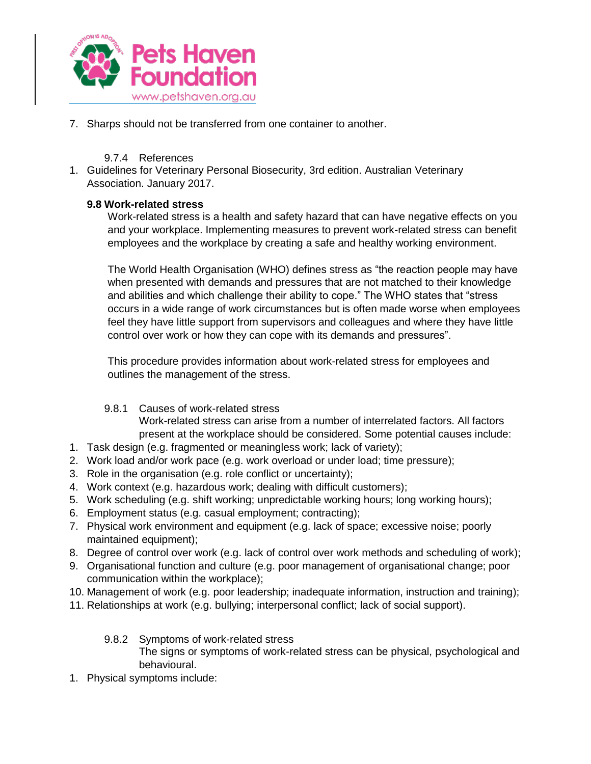

7. Sharps should not be transferred from one container to another.

## 9.7.4 References

<span id="page-24-0"></span>1. Guidelines for Veterinary Personal Biosecurity, 3rd edition. Australian Veterinary Association. January 2017.

## <span id="page-24-1"></span>**9.8 Work-related stress**

Work-related stress is a health and safety hazard that can have negative effects on you and your workplace. Implementing measures to prevent work-related stress can benefit employees and the workplace by creating a safe and healthy working environment.

The World Health Organisation (WHO) defines stress as "the reaction people may have when presented with demands and pressures that are not matched to their knowledge and abilities and which challenge their ability to cope." The WHO states that "stress occurs in a wide range of work circumstances but is often made worse when employees feel they have little support from supervisors and colleagues and where they have little control over work or how they can cope with its demands and pressures".

This procedure provides information about work-related stress for employees and outlines the management of the stress.

<span id="page-24-2"></span>9.8.1 Causes of work-related stress

Work-related stress can arise from a number of interrelated factors. All factors present at the workplace should be considered. Some potential causes include:

- 1. Task design (e.g. fragmented or meaningless work; lack of variety);
- 2. Work load and/or work pace (e.g. work overload or under load; time pressure);
- 3. Role in the organisation (e.g. role conflict or uncertainty);
- 4. Work context (e.g. hazardous work; dealing with difficult customers);
- 5. Work scheduling (e.g. shift working; unpredictable working hours; long working hours);
- 6. Employment status (e.g. casual employment; contracting);
- 7. Physical work environment and equipment (e.g. lack of space; excessive noise; poorly maintained equipment);
- 8. Degree of control over work (e.g. lack of control over work methods and scheduling of work);
- 9. Organisational function and culture (e.g. poor management of organisational change; poor communication within the workplace);
- 10. Management of work (e.g. poor leadership; inadequate information, instruction and training);
- <span id="page-24-3"></span>11. Relationships at work (e.g. bullying; interpersonal conflict; lack of social support).
	- 9.8.2 Symptoms of work-related stress The signs or symptoms of work-related stress can be physical, psychological and behavioural.
- 1. Physical symptoms include: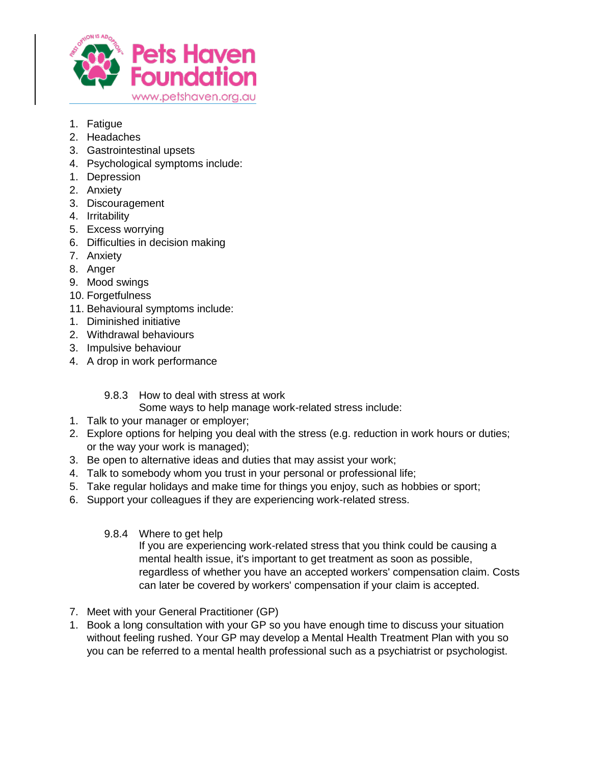

- 1. Fatigue
- 2. Headaches
- 3. Gastrointestinal upsets
- 4. Psychological symptoms include:
- 1. Depression
- 2. Anxiety
- 3. Discouragement
- 4. Irritability
- 5. Excess worrying
- 6. Difficulties in decision making
- 7. Anxiety
- 8. Anger
- 9. Mood swings
- 10. Forgetfulness
- 11. Behavioural symptoms include:
- 1. Diminished initiative
- 2. Withdrawal behaviours
- 3. Impulsive behaviour
- 4. A drop in work performance
	- 9.8.3 How to deal with stress at work
		- Some ways to help manage work-related stress include:
- <span id="page-25-0"></span>1. Talk to your manager or employer;
- 2. Explore options for helping you deal with the stress (e.g. reduction in work hours or duties; or the way your work is managed);
- 3. Be open to alternative ideas and duties that may assist your work;
- 4. Talk to somebody whom you trust in your personal or professional life;
- 5. Take regular holidays and make time for things you enjoy, such as hobbies or sport;
- <span id="page-25-1"></span>6. Support your colleagues if they are experiencing work-related stress.
	- 9.8.4 Where to get help

If you are experiencing work-related stress that you think could be causing a mental health issue, it's important to get treatment as soon as possible, regardless of whether you have an accepted workers' compensation claim. Costs can later be covered by workers' compensation if your claim is accepted.

- 7. Meet with your General Practitioner (GP)
- 1. Book a long consultation with your GP so you have enough time to discuss your situation without feeling rushed. Your GP may develop a Mental Health Treatment Plan with you so you can be referred to a mental health professional such as a psychiatrist or psychologist.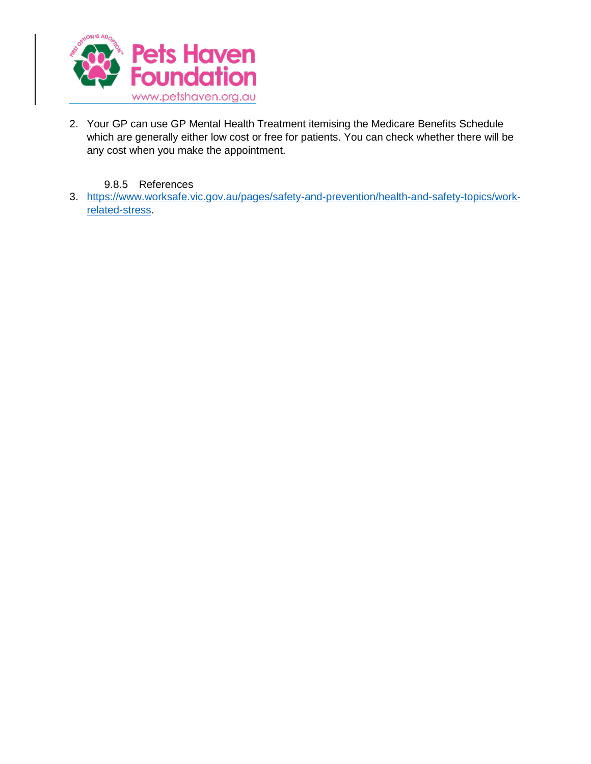

- 2. Your GP can use GP Mental Health Treatment itemising the Medicare Benefits Schedule which are generally either low cost or free for patients. You can check whether there will be any cost when you make the appointment.
	- 9.8.5 References
- <span id="page-26-0"></span>3. [https://www.worksafe.vic.gov.au/pages/safety-and-prevention/health-and-safety-topics/work](https://www.worksafe.vic.gov.au/pages/safety-and-prevention/health-and-safety-topics/work-related-stress)[related-stress.](https://www.worksafe.vic.gov.au/pages/safety-and-prevention/health-and-safety-topics/work-related-stress)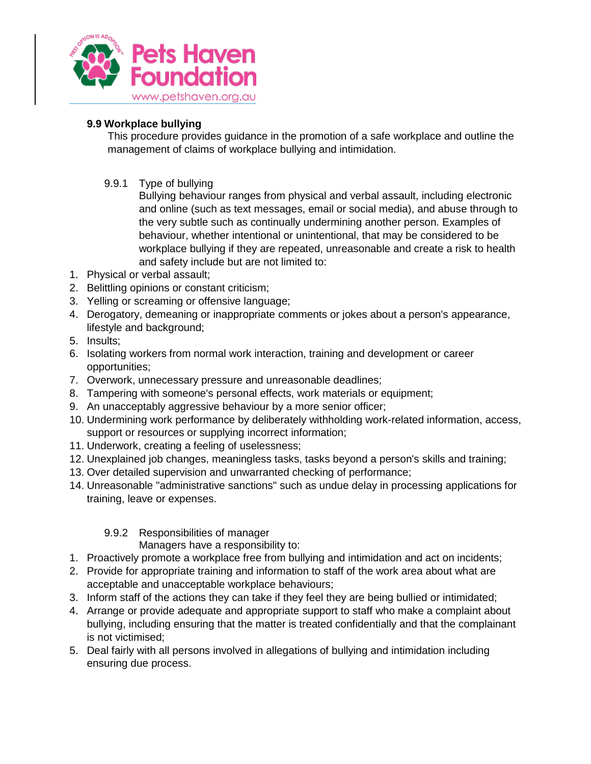

## <span id="page-27-0"></span>**9.9 Workplace bullying**

This procedure provides guidance in the promotion of a safe workplace and outline the management of claims of workplace bullying and intimidation.

<span id="page-27-1"></span>9.9.1 Type of bullying

Bullying behaviour ranges from physical and verbal assault, including electronic and online (such as text messages, email or social media), and abuse through to the very subtle such as continually undermining another person. Examples of behaviour, whether intentional or unintentional, that may be considered to be workplace bullying if they are repeated, unreasonable and create a risk to health and safety include but are not limited to:

- 1. Physical or verbal assault;
- 2. Belittling opinions or constant criticism;
- 3. Yelling or screaming or offensive language;
- 4. Derogatory, demeaning or inappropriate comments or jokes about a person's appearance, lifestyle and background;
- 5. Insults;
- 6. Isolating workers from normal work interaction, training and development or career opportunities;
- 7. Overwork, unnecessary pressure and unreasonable deadlines;
- 8. Tampering with someone's personal effects, work materials or equipment;
- 9. An unacceptably aggressive behaviour by a more senior officer;
- 10. Undermining work performance by deliberately withholding work-related information, access, support or resources or supplying incorrect information;
- 11. Underwork, creating a feeling of uselessness;
- 12. Unexplained job changes, meaningless tasks, tasks beyond a person's skills and training;
- 13. Over detailed supervision and unwarranted checking of performance;
- 14. Unreasonable "administrative sanctions" such as undue delay in processing applications for training, leave or expenses.

## 9.9.2 Responsibilities of manager

Managers have a responsibility to:

- <span id="page-27-2"></span>1. Proactively promote a workplace free from bullying and intimidation and act on incidents;
- 2. Provide for appropriate training and information to staff of the work area about what are acceptable and unacceptable workplace behaviours;
- 3. Inform staff of the actions they can take if they feel they are being bullied or intimidated;
- 4. Arrange or provide adequate and appropriate support to staff who make a complaint about bullying, including ensuring that the matter is treated confidentially and that the complainant is not victimised;
- 5. Deal fairly with all persons involved in allegations of bullying and intimidation including ensuring due process.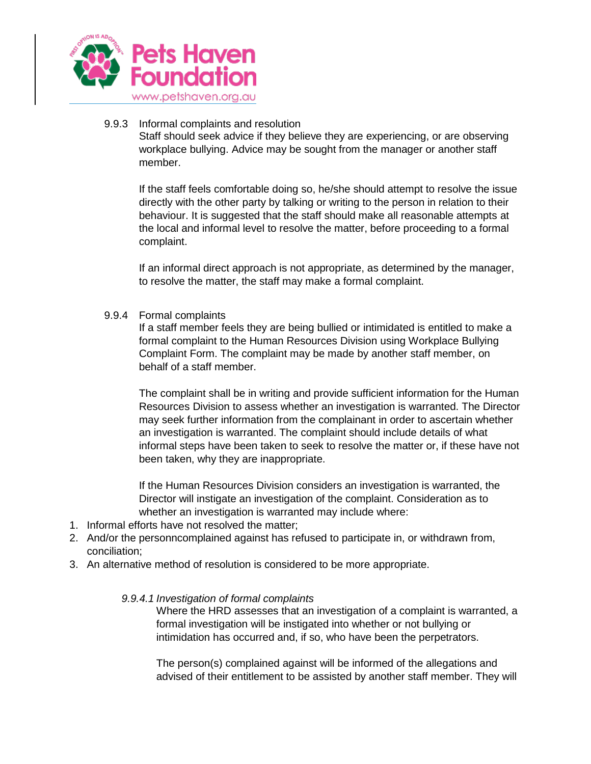

#### <span id="page-28-0"></span>9.9.3 Informal complaints and resolution

Staff should seek advice if they believe they are experiencing, or are observing workplace bullying. Advice may be sought from the manager or another staff member.

If the staff feels comfortable doing so, he/she should attempt to resolve the issue directly with the other party by talking or writing to the person in relation to their behaviour. It is suggested that the staff should make all reasonable attempts at the local and informal level to resolve the matter, before proceeding to a formal complaint.

If an informal direct approach is not appropriate, as determined by the manager, to resolve the matter, the staff may make a formal complaint.

<span id="page-28-1"></span>9.9.4 Formal complaints

If a staff member feels they are being bullied or intimidated is entitled to make a formal complaint to the Human Resources Division using Workplace Bullying Complaint Form. The complaint may be made by another staff member, on behalf of a staff member.

The complaint shall be in writing and provide sufficient information for the Human Resources Division to assess whether an investigation is warranted. The Director may seek further information from the complainant in order to ascertain whether an investigation is warranted. The complaint should include details of what informal steps have been taken to seek to resolve the matter or, if these have not been taken, why they are inappropriate.

If the Human Resources Division considers an investigation is warranted, the Director will instigate an investigation of the complaint. Consideration as to whether an investigation is warranted may include where:

- 1. Informal efforts have not resolved the matter;
- 2. And/or the personncomplained against has refused to participate in, or withdrawn from, conciliation;
- 3. An alternative method of resolution is considered to be more appropriate.

#### *9.9.4.1 Investigation of formal complaints*

Where the HRD assesses that an investigation of a complaint is warranted, a formal investigation will be instigated into whether or not bullying or intimidation has occurred and, if so, who have been the perpetrators.

The person(s) complained against will be informed of the allegations and advised of their entitlement to be assisted by another staff member. They will